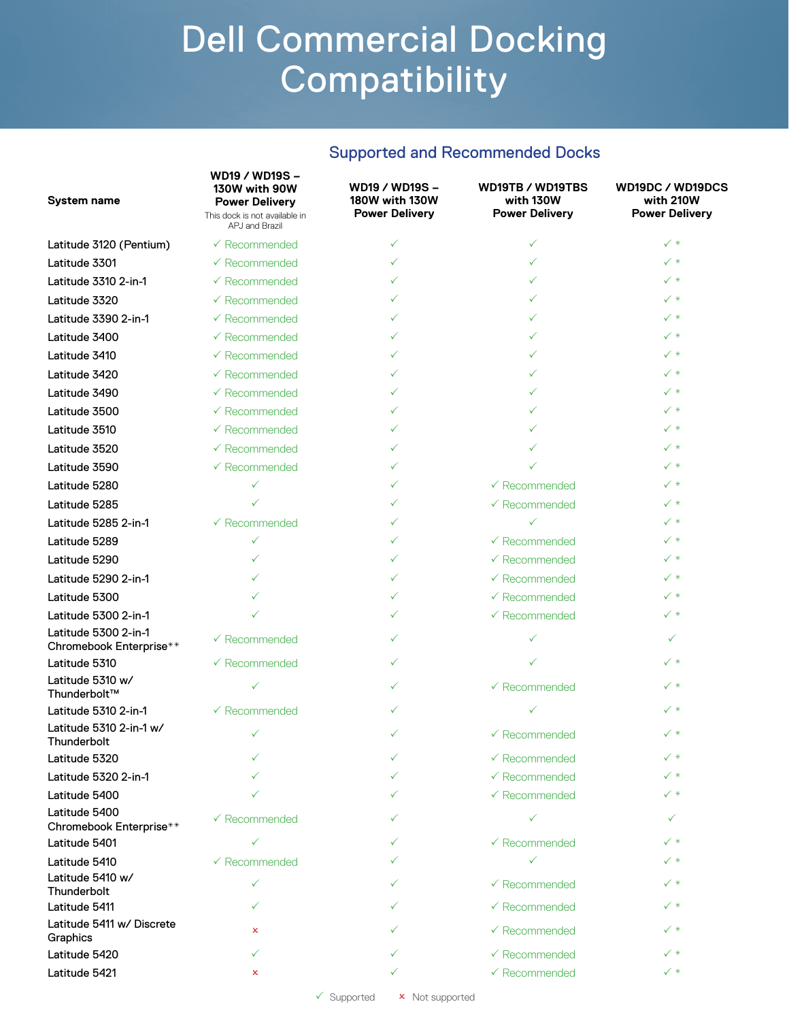#### Supported and Recommended Docks

| System name                                     | WD19 / WD19S -<br>130W with 90W<br><b>Power Delivery</b><br>This dock is not available in<br>APJ and Brazil | WD19 / WD19S -<br><b>180W with 130W</b><br><b>Power Delivery</b> | WD19TB / WD19TBS<br>with 130W<br><b>Power Delivery</b> | WD19DC / WD19DCS<br>with 210W<br><b>Power Delivery</b> |
|-------------------------------------------------|-------------------------------------------------------------------------------------------------------------|------------------------------------------------------------------|--------------------------------------------------------|--------------------------------------------------------|
| Latitude 3120 (Pentium)                         | $\checkmark$ Recommended                                                                                    | ✓                                                                | ✓                                                      | $\checkmark$ *                                         |
| Latitude 3301                                   | $\checkmark$ Recommended                                                                                    | ✓                                                                | ✓                                                      | $\checkmark$ *                                         |
| Latitude 3310 2-in-1                            | $\checkmark$ Recommended                                                                                    | ✓                                                                | ✓                                                      | $\checkmark$ *                                         |
| Latitude 3320                                   | $\checkmark$ Recommended                                                                                    |                                                                  | $\checkmark$                                           | $\checkmark$ *                                         |
| Latitude 3390 2-in-1                            | $\sqrt{R}$ ecommended                                                                                       | ✓                                                                | ✓                                                      | $\checkmark$ *                                         |
| Latitude 3400                                   | $\checkmark$ Recommended                                                                                    | ✓                                                                | ✓                                                      | $\checkmark$ *                                         |
| Latitude 3410                                   | $\checkmark$ Recommended                                                                                    | ✓                                                                | ✓                                                      | $\checkmark$ *                                         |
| Latitude 3420                                   | $\checkmark$ Recommended                                                                                    | ✓                                                                | ✓                                                      | ✓∗                                                     |
| Latitude 3490                                   | $\checkmark$ Recommended                                                                                    | ✓                                                                | ✓                                                      | $\checkmark$ *                                         |
| Latitude 3500                                   | $\checkmark$ Recommended                                                                                    | ✓                                                                | ✓                                                      | $\checkmark$ *                                         |
| Latitude 3510                                   | $\checkmark$ Recommended                                                                                    | ✓                                                                | ✓                                                      | $\checkmark$ *                                         |
| Latitude 3520                                   | $\checkmark$ Recommended                                                                                    | ✓                                                                | ✓                                                      | $\checkmark$ *                                         |
| Latitude 3590                                   | $\checkmark$ Recommended                                                                                    | ✓                                                                | ✓                                                      | ✓∗                                                     |
| Latitude 5280                                   | $\checkmark$                                                                                                | ✓                                                                | $\checkmark$ Recommended                               | $\checkmark$ *                                         |
| Latitude 5285                                   |                                                                                                             | ✓                                                                | $\checkmark$ Recommended                               | $\checkmark$ *                                         |
| Latitude 5285 2-in-1                            | $\checkmark$ Recommended                                                                                    | ✓                                                                | $\checkmark$                                           | $\checkmark$ *                                         |
| Latitude 5289                                   | $\checkmark$                                                                                                | ✓                                                                | $\checkmark$ Recommended                               | $\checkmark$ *                                         |
| Latitude 5290                                   | ✓                                                                                                           | ✓                                                                | $\checkmark$ Recommended                               | ✓∗                                                     |
| Latitude 5290 2-in-1                            |                                                                                                             | ✓                                                                | $\checkmark$ Recommended                               | $\checkmark$ *                                         |
| Latitude 5300                                   |                                                                                                             | ✓                                                                | $\checkmark$ Recommended                               | $\checkmark$ *                                         |
| Latitude 5300 2-in-1                            |                                                                                                             | ✓                                                                | $\checkmark$ Recommended                               | $\checkmark$ *                                         |
| Latitude 5300 2-in-1<br>Chromebook Enterprise** | $\checkmark$ Recommended                                                                                    | ✓                                                                | ✓                                                      | ✓                                                      |
| Latitude 5310                                   | $\checkmark$ Recommended                                                                                    | ✓                                                                |                                                        | $\checkmark$ *                                         |
| Latitude 5310 w/<br>Thunderbolt™                | $\checkmark$                                                                                                | ✓                                                                | $\checkmark$ Recommended                               | $\checkmark$ *                                         |
| Latitude 5310 2-in-1                            | $\checkmark$ Recommended                                                                                    | ✓                                                                | ✓                                                      | $\checkmark$ *                                         |
| Latitude 5310 2-in-1 w/<br>Thunderbolt          |                                                                                                             | ✓                                                                | $\checkmark$ Recommended                               | $\checkmark$ *                                         |
| Latitude 5320                                   | ✓                                                                                                           | ✓                                                                | $\checkmark$ Recommended                               | $\checkmark$ *                                         |
| Latitude 5320 2-in-1                            |                                                                                                             |                                                                  | $\checkmark$ Recommended                               | $\checkmark$ $*$                                       |
| Latitude 5400                                   |                                                                                                             |                                                                  | $\checkmark$ Recommended                               | $\checkmark$ *                                         |
| Latitude 5400<br>Chromebook Enterprise**        | $\checkmark$ Recommended                                                                                    |                                                                  | $\checkmark$                                           | ✓                                                      |
| Latitude 5401                                   | $\checkmark$                                                                                                | ✓                                                                | $\checkmark$ Recommended                               | $\checkmark$ $*$                                       |
| Latitude 5410                                   | $\checkmark$ Recommended                                                                                    |                                                                  | $\checkmark$                                           | ✓∗                                                     |
| Latitude 5410 w/<br>Thunderbolt                 | ✓                                                                                                           | ✓                                                                | $\checkmark$ Recommended                               | ✓∗                                                     |
| Latitude 5411                                   | $\checkmark$                                                                                                | ✓                                                                | $\checkmark$ Recommended                               | ✓∗                                                     |
| Latitude 5411 w/ Discrete<br>Graphics           | x                                                                                                           |                                                                  | $\checkmark$ Recommended                               | ✓∗                                                     |
| Latitude 5420                                   | ✓                                                                                                           | ✓                                                                | $\checkmark$ Recommended                               | $\checkmark$ *                                         |
| Latitude 5421                                   | x                                                                                                           | ✓                                                                | $\checkmark$ Recommended                               | $\checkmark$ *                                         |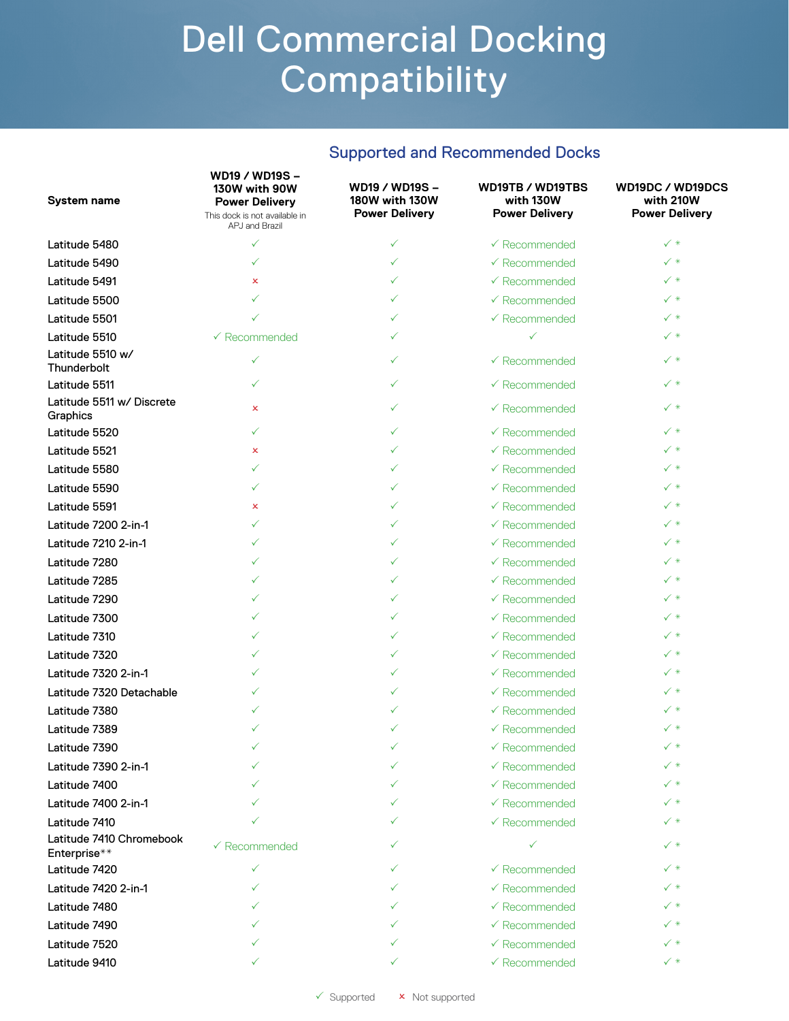|  |  | <b>Supported and Recommended Docks</b> |  |
|--|--|----------------------------------------|--|
|--|--|----------------------------------------|--|

| System name                              | WD19 / WD19S -<br>130W with 90W<br><b>Power Delivery</b><br>This dock is not available in<br>APJ and Brazil | WD19 / WD19S -<br><b>180W with 130W</b><br><b>Power Delivery</b> | WD19TB / WD19TBS<br>with 130W<br><b>Power Delivery</b> | WD19DC / WD19DCS<br>with 210W<br><b>Power Delivery</b> |
|------------------------------------------|-------------------------------------------------------------------------------------------------------------|------------------------------------------------------------------|--------------------------------------------------------|--------------------------------------------------------|
| Latitude 5480                            | $\checkmark$                                                                                                | ✓                                                                | $\checkmark$ Recommended                               | $\checkmark$ *                                         |
| Latitude 5490                            | ✓                                                                                                           | ✓                                                                | $\checkmark$ Recommended                               | $\checkmark$ *                                         |
| Latitude 5491                            | $\mathsf{x}$                                                                                                | ✓                                                                | $\checkmark$ Recommended                               | $\checkmark$ $*$                                       |
| Latitude 5500                            | ✓                                                                                                           | ✓                                                                | $\checkmark$ Recommended                               | $\checkmark$ $*$                                       |
| Latitude 5501                            |                                                                                                             | ✓                                                                | $\checkmark$ Recommended                               | $\checkmark$ *                                         |
| Latitude 5510                            | $\checkmark$ Recommended                                                                                    | ✓                                                                | $\checkmark$                                           | $\checkmark$ *                                         |
| Latitude 5510 w/<br>Thunderbolt          | ✓                                                                                                           | ✓                                                                | $\checkmark$ Recommended                               | ✓∗                                                     |
| Latitude 5511                            | ✓                                                                                                           | ✓                                                                | $\checkmark$ Recommended                               | $\checkmark$ *                                         |
| Latitude 5511 w/ Discrete<br>Graphics    | ×                                                                                                           | ✓                                                                | $\checkmark$ Recommended                               | $\checkmark$ *                                         |
| Latitude 5520                            | ✓                                                                                                           | ✓                                                                | $\checkmark$ Recommended                               | $\checkmark$ *                                         |
| Latitude 5521                            | ×                                                                                                           | ✓                                                                | $\checkmark$ Recommended                               | $\checkmark$ $*$                                       |
| Latitude 5580                            | ✓                                                                                                           | ✓                                                                | $\checkmark$ Recommended                               | $\checkmark$ *                                         |
| Latitude 5590                            | ✓                                                                                                           | ✓                                                                | $\checkmark$ Recommended                               | $\checkmark$ *                                         |
| Latitude 5591                            | ×                                                                                                           | ✓                                                                | $\checkmark$ Recommended                               | $\checkmark$ *                                         |
| Latitude 7200 2-in-1                     | ✓                                                                                                           | ✓                                                                | $\checkmark$ Recommended                               | $\checkmark$ *                                         |
| Latitude 7210 2-in-1                     | ✓                                                                                                           | ✓                                                                | $\checkmark$ Recommended                               | $\checkmark$ *                                         |
| Latitude 7280                            | ✓                                                                                                           | $\checkmark$                                                     | $\checkmark$ Recommended                               | ✓∗                                                     |
| Latitude 7285                            | ✓                                                                                                           | ✓                                                                | $\checkmark$ Recommended                               | $\checkmark$ *                                         |
| Latitude 7290                            | ✓                                                                                                           | ✓                                                                | $\checkmark$ Recommended                               | $\checkmark$ *                                         |
| Latitude 7300                            | ✓                                                                                                           | ✓                                                                | $\checkmark$ Recommended                               | $\checkmark$ *                                         |
| Latitude 7310                            | ✓                                                                                                           | ✓                                                                | $\checkmark$ Recommended                               | ✓∗                                                     |
| Latitude 7320                            | ✓                                                                                                           | $\checkmark$                                                     | $\checkmark$ Recommended                               | $\checkmark$                                           |
| Latitude 7320 2-in-1                     | ✓                                                                                                           | ✓                                                                | $\checkmark$ Recommended                               | $\checkmark$ *                                         |
| Latitude 7320 Detachable                 |                                                                                                             | ✓                                                                | $\checkmark$ Recommended                               | $\checkmark$ *                                         |
| Latitude 7380                            | ✓                                                                                                           | ✓                                                                | $\checkmark$ Recommended                               | $\checkmark$ *                                         |
| Latitude 7389                            |                                                                                                             | ✓                                                                | $\checkmark$ Recommended                               | ✓∗                                                     |
| Latitude 7390                            |                                                                                                             |                                                                  | ← Recommended                                          | $\checkmark$ *                                         |
| Latitude 7390 2-in-1                     |                                                                                                             |                                                                  | $\checkmark$ Recommended                               | ✓∗                                                     |
| Latitude 7400                            |                                                                                                             |                                                                  | $\checkmark$ Recommended                               | ✓∗                                                     |
| Latitude 7400 2-in-1                     |                                                                                                             |                                                                  | $\checkmark$ Recommended                               | ✓∗                                                     |
| Latitude 7410                            |                                                                                                             |                                                                  | $\checkmark$ Recommended                               | ✓∗                                                     |
| Latitude 7410 Chromebook<br>Enterprise** | $\checkmark$ Recommended                                                                                    | ✓                                                                | $\checkmark$                                           | ✓∗                                                     |
| Latitude 7420                            | ✓                                                                                                           | ✓                                                                | $\checkmark$ Recommended                               | $\checkmark$ *                                         |
| Latitude 7420 2-in-1                     | ✓                                                                                                           |                                                                  | $\checkmark$ Recommended                               | ✓∗                                                     |
| Latitude 7480                            |                                                                                                             |                                                                  | $\checkmark$ Recommended                               | ✓∗                                                     |
| Latitude 7490                            |                                                                                                             |                                                                  | $\checkmark$ Recommended                               | $\checkmark$ *                                         |
| Latitude 7520                            |                                                                                                             |                                                                  | $\checkmark$ Recommended                               | ✓ *                                                    |
| Latitude 9410                            |                                                                                                             | ✓                                                                | $\checkmark$ Recommended                               | $\checkmark$ *                                         |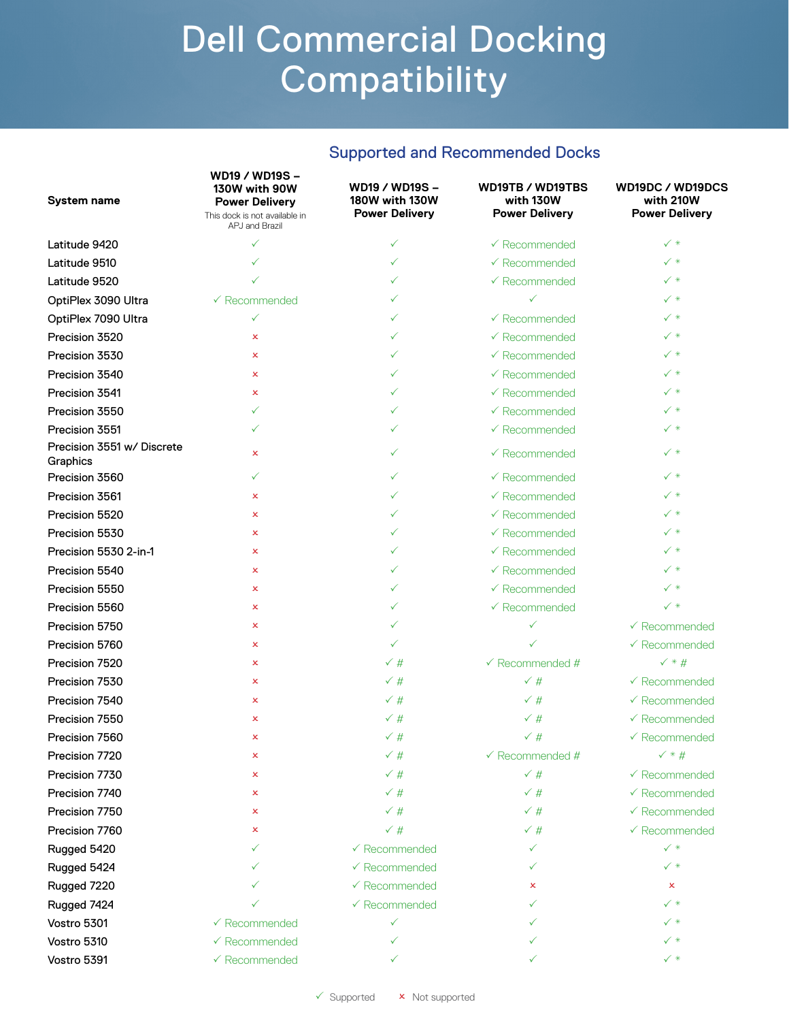#### Supported and Recommended Docks

| <b>System name</b>                     | WD19 / WD19S-<br>130W with 90W<br><b>Power Delivery</b><br>This dock is not available in<br>APJ and Brazil | WD19 / WD19S -<br>180W with 130W<br><b>Power Delivery</b> | WD19TB / WD19TBS<br>with 130W<br><b>Power Delivery</b> | WD19DC / WD19DCS<br>with 210W<br><b>Power Delivery</b> |
|----------------------------------------|------------------------------------------------------------------------------------------------------------|-----------------------------------------------------------|--------------------------------------------------------|--------------------------------------------------------|
| Latitude 9420                          | ✓                                                                                                          | ✓                                                         | $\checkmark$ Recommended                               | $\checkmark$ *                                         |
| Latitude 9510                          |                                                                                                            | ✓                                                         | $\checkmark$ Recommended                               | $\checkmark$ *                                         |
| Latitude 9520                          |                                                                                                            | ✓                                                         | $\checkmark$ Recommended                               | $\checkmark$ *                                         |
| OptiPlex 3090 Ultra                    | $\checkmark$ Recommended                                                                                   | ✓                                                         | $\checkmark$                                           | $\checkmark$ *                                         |
| OptiPlex 7090 Ultra                    | ✓                                                                                                          | ✓                                                         | $\checkmark$ Recommended                               | $\checkmark$ $*$                                       |
| Precision 3520                         | ×                                                                                                          | ✓                                                         | $\checkmark$ Recommended                               | ✓∗                                                     |
| Precision 3530                         | $\mathsf{x}$                                                                                               | ✓                                                         | $\checkmark$ Recommended                               | ✓ *                                                    |
| Precision 3540                         | $\mathsf{x}$                                                                                               | ✓                                                         | $\checkmark$ Recommended                               | $\checkmark$ *                                         |
| Precision 3541                         | $\mathsf{x}$                                                                                               | ✓                                                         | $\checkmark$ Recommended                               | ✓ *                                                    |
| Precision 3550                         | ✓                                                                                                          | ✓                                                         | $\checkmark$ Recommended                               | ✓ *                                                    |
| Precision 3551                         | ✓                                                                                                          | ✓                                                         | $\checkmark$ Recommended                               | ✓ *                                                    |
| Precision 3551 w/ Discrete<br>Graphics | ×                                                                                                          | ✓                                                         | $\checkmark$ Recommended                               | $\checkmark$ *                                         |
| Precision 3560                         | ✓                                                                                                          | ✓                                                         | $\checkmark$ Recommended                               | $\checkmark$ *                                         |
| Precision 3561                         | ×                                                                                                          | ✓                                                         | $\checkmark$ Recommended                               | $\checkmark$ *                                         |
| Precision 5520                         | ×                                                                                                          | ✓                                                         | $\checkmark$ Recommended                               | $\checkmark$ *                                         |
| Precision 5530                         | ×                                                                                                          | ✓                                                         | $\checkmark$ Recommended                               | $\checkmark$ $*$                                       |
| Precision 5530 2-in-1                  | ×                                                                                                          | ✓                                                         | $\checkmark$ Recommended                               | ✓∗                                                     |
| Precision 5540                         | $\mathsf{x}$                                                                                               | ✓                                                         | $\checkmark$ Recommended                               | ✓∗                                                     |
| Precision 5550                         | $\mathsf{x}$                                                                                               | ✓                                                         | $\checkmark$ Recommended                               | $\checkmark$ *                                         |
| Precision 5560                         | x                                                                                                          | ✓                                                         | $\checkmark$ Recommended                               | $\checkmark$ *                                         |
| Precision 5750                         | x                                                                                                          | ✓                                                         | $\checkmark$                                           | $\checkmark$ Recommended                               |
| Precision 5760                         | ×                                                                                                          | ✓                                                         | ✓                                                      | $\checkmark$ Recommended                               |
| Precision 7520                         | x                                                                                                          | $\checkmark$ #                                            | $\checkmark$ Recommended #                             | $\checkmark$ * #                                       |
| Precision 7530                         | ×                                                                                                          | $\checkmark$ #                                            | $\checkmark$ #                                         | $\checkmark$ Recommended                               |
| Precision 7540                         | ×                                                                                                          | $\checkmark$ #                                            | $\checkmark$ #                                         | $\checkmark$ Recommended                               |
| Precision 7550                         | x                                                                                                          | $\checkmark$ #                                            | $\checkmark$ #                                         | $\checkmark$ Recommended                               |
| Precision 7560                         | x                                                                                                          | $\checkmark$ #                                            | √ #                                                    | $\checkmark$ Recommended                               |
| Precision 7720                         | ×                                                                                                          | $\checkmark$ #                                            | $\checkmark$ Recommended #                             | $\checkmark$ * #                                       |
| Precision 7730                         | ×                                                                                                          | $\checkmark$ #                                            | $\checkmark$ #                                         | $\checkmark$ Recommended                               |
| Precision 7740                         | x                                                                                                          | $\checkmark$ #                                            | $\checkmark$ #                                         | $\checkmark$ Recommended                               |
| Precision 7750                         | ×                                                                                                          | $\checkmark$ #                                            | $\checkmark$ #                                         | $\checkmark$ Recommended                               |
| Precision 7760                         | x                                                                                                          | $\checkmark$ #                                            | $\checkmark$ #                                         | $\checkmark$ Recommended                               |
| Rugged 5420                            |                                                                                                            | $\checkmark$ Recommended                                  | $\checkmark$                                           | $\checkmark$ *                                         |
| Rugged 5424                            |                                                                                                            | $\checkmark$ Recommended                                  | ✓                                                      | $\checkmark$ *                                         |
| Rugged 7220                            |                                                                                                            | $\checkmark$ Recommended                                  | x                                                      | x                                                      |
| Rugged 7424                            |                                                                                                            | $\checkmark$ Recommended                                  |                                                        | ✓∗                                                     |
| Vostro 5301                            | $\checkmark$ Recommended                                                                                   | ✓                                                         |                                                        | $\checkmark$ *                                         |
| Vostro 5310                            | $\checkmark$ Recommended                                                                                   | ✓                                                         |                                                        | ✓∗                                                     |
| Vostro 5391                            | $\checkmark$ Recommended                                                                                   |                                                           |                                                        | $\checkmark$ *                                         |